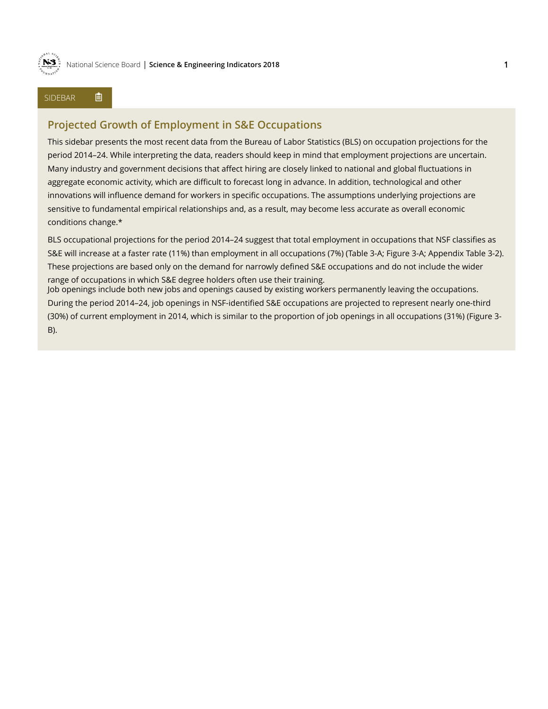

### SIDEBAR 自

# **Projected Growth of Employment in S&E Occupations**

This sidebar presents the most recent data from the Bureau of Labor Statistics (BLS) on occupation projections for the period 2014–24. While interpreting the data, readers should keep in mind that employment projections are uncertain. Many industry and government decisions that affect hiring are closely linked to national and global fluctuations in aggregate economic activity, which are difficult to forecast long in advance. In addition, technological and other innovations will influence demand for workers in specific occupations. The assumptions underlying projections are sensitive to fundamental empirical relationships and, as a result, may become less accurate as overall economic conditions change.\*

BLS occupational projections for the period 2014–24 suggest that total employment in occupations that NSF classifies as S&E will increase at a faster rate (11%) than employment in all occupations (7%) (Table 3-A; Figure 3-A; Appendix Table 3-2). These projections are based only on the demand for narrowly defined S&E occupations and do not include the wider range of occupations in which S&E degree holders often use their training.

Job openings include both new jobs and openings caused by existing workers permanently leaving the occupations. During the period 2014–24, job openings in NSF-identified S&E occupations are projected to represent nearly one-third (30%) of current employment in 2014, which is similar to the proportion of job openings in all occupations (31%) (Figure 3- B).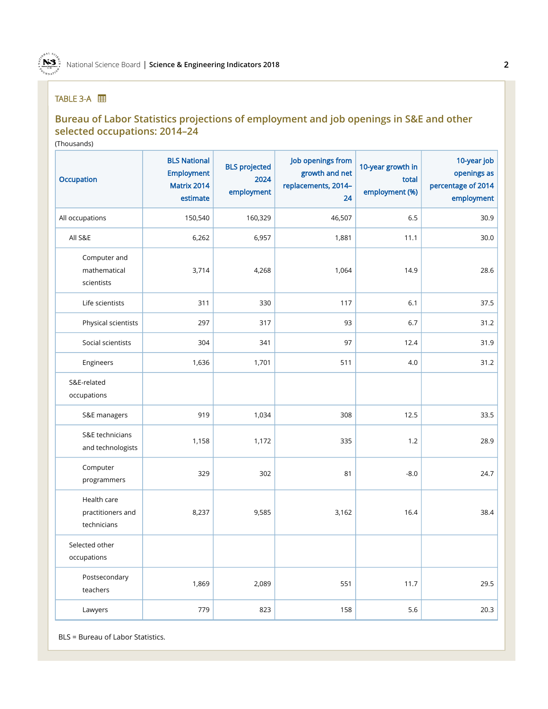

## TABLE 3-A **|**

# **Bureau of Labor Statistics projections of employment and job openings in S&E and other selected occupations: 2014–24**

(Thousands)

| Occupation                                      | <b>BLS National</b><br><b>Employment</b><br>Matrix 2014<br>estimate | <b>BLS</b> projected<br>2024<br>employment | Job openings from<br>growth and net<br>replacements, 2014-<br>24 | 10-year growth in<br>total<br>employment (%) | 10-year job<br>openings as<br>percentage of 2014<br>employment |
|-------------------------------------------------|---------------------------------------------------------------------|--------------------------------------------|------------------------------------------------------------------|----------------------------------------------|----------------------------------------------------------------|
| All occupations                                 | 150,540                                                             | 160,329                                    | 46,507                                                           | 6.5                                          | 30.9                                                           |
| All S&E                                         | 6,262                                                               | 6,957                                      | 1,881                                                            | 11.1                                         | 30.0                                                           |
| Computer and<br>mathematical<br>scientists      | 3,714                                                               | 4,268                                      | 1,064                                                            | 14.9                                         | 28.6                                                           |
| Life scientists                                 | 311                                                                 | 330                                        | 117                                                              | $6.1$                                        | 37.5                                                           |
| Physical scientists                             | 297                                                                 | 317                                        | 93                                                               | 6.7                                          | 31.2                                                           |
| Social scientists                               | 304                                                                 | 341                                        | 97                                                               | 12.4                                         | 31.9                                                           |
| Engineers                                       | 1,636                                                               | 1,701                                      | 511                                                              | 4.0                                          | 31.2                                                           |
| S&E-related<br>occupations                      |                                                                     |                                            |                                                                  |                                              |                                                                |
| S&E managers                                    | 919                                                                 | 1,034                                      | 308                                                              | 12.5                                         | 33.5                                                           |
| S&E technicians<br>and technologists            | 1,158                                                               | 1,172                                      | 335                                                              | 1.2                                          | 28.9                                                           |
| Computer<br>programmers                         | 329                                                                 | 302                                        | 81                                                               | $-8.0$                                       | 24.7                                                           |
| Health care<br>practitioners and<br>technicians | 8,237                                                               | 9,585                                      | 3,162                                                            | 16.4                                         | 38.4                                                           |
| Selected other<br>occupations                   |                                                                     |                                            |                                                                  |                                              |                                                                |
| Postsecondary<br>teachers                       | 1,869                                                               | 2,089                                      | 551                                                              | 11.7                                         | 29.5                                                           |
| Lawyers                                         | 779                                                                 | 823                                        | 158                                                              | $5.6\,$                                      | 20.3                                                           |

BLS = Bureau of Labor Statistics.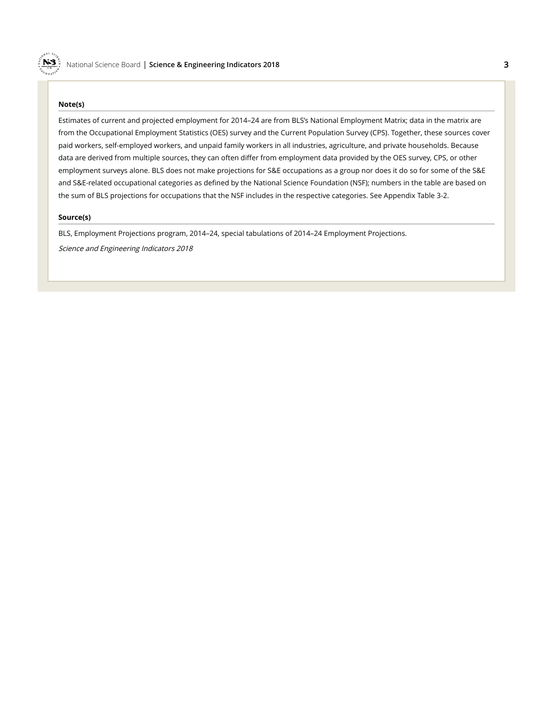#### **Note(s)**

N3

Estimates of current and projected employment for 2014–24 are from BLS's National Employment Matrix; data in the matrix are from the Occupational Employment Statistics (OES) survey and the Current Population Survey (CPS). Together, these sources cover paid workers, self-employed workers, and unpaid family workers in all industries, agriculture, and private households. Because data are derived from multiple sources, they can often differ from employment data provided by the OES survey, CPS, or other employment surveys alone. BLS does not make projections for S&E occupations as a group nor does it do so for some of the S&E and S&E-related occupational categories as defined by the National Science Foundation (NSF); numbers in the table are based on the sum of BLS projections for occupations that the NSF includes in the respective categories. See Appendix Table 3-2.

#### **Source(s)**

BLS, Employment Projections program, 2014–24, special tabulations of 2014–24 Employment Projections. Science and Engineering Indicators 2018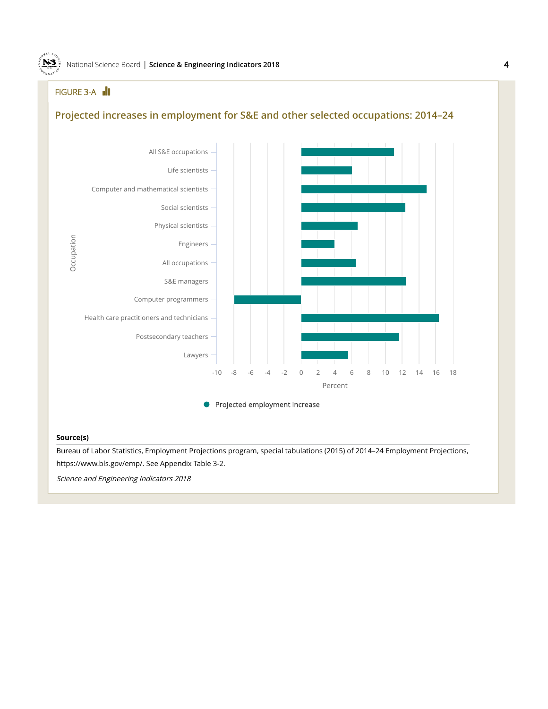## FIGURE 3-A **III**

N3

# **Projected increases in employment for S&E and other selected occupations: 2014–24**



Projected employment increase

### **Source(s)**

Bureau of Labor Statistics, Employment Projections program, special tabulations (2015) of 2014–24 Employment Projections, https://www.bls.gov/emp/. See Appendix Table 3-2.

Science and Engineering Indicators 2018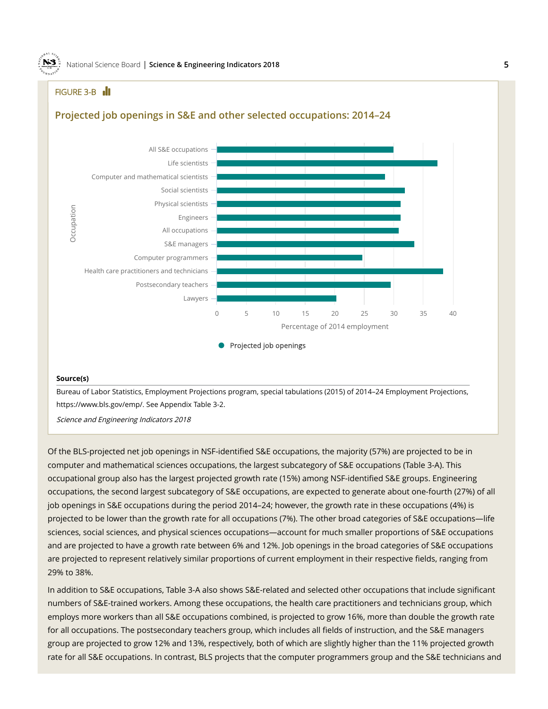## FIGURE 3-B **III**

N3

### **Projected job openings in S&E and other selected occupations: 2014–24**



#### **Source(s)**

Bureau of Labor Statistics, Employment Projections program, special tabulations (2015) of 2014–24 Employment Projections, https://www.bls.gov/emp/. See Appendix Table 3-2.

Science and Engineering Indicators 2018

Of the BLS-projected net job openings in NSF-identified S&E occupations, the majority (57%) are projected to be in computer and mathematical sciences occupations, the largest subcategory of S&E occupations (Table 3-A). This occupational group also has the largest projected growth rate (15%) among NSF-identified S&E groups. Engineering occupations, the second largest subcategory of S&E occupations, are expected to generate about one-fourth (27%) of all job openings in S&E occupations during the period 2014–24; however, the growth rate in these occupations (4%) is projected to be lower than the growth rate for all occupations (7%). The other broad categories of S&E occupations—life sciences, social sciences, and physical sciences occupations—account for much smaller proportions of S&E occupations and are projected to have a growth rate between 6% and 12%. Job openings in the broad categories of S&E occupations are projected to represent relatively similar proportions of current employment in their respective fields, ranging from 29% to 38%.

In addition to S&E occupations, Table 3-A also shows S&E-related and selected other occupations that include significant numbers of S&E-trained workers. Among these occupations, the health care practitioners and technicians group, which employs more workers than all S&E occupations combined, is projected to grow 16%, more than double the growth rate for all occupations. The postsecondary teachers group, which includes all fields of instruction, and the S&E managers group are projected to grow 12% and 13%, respectively, both of which are slightly higher than the 11% projected growth rate for all S&E occupations. In contrast, BLS projects that the computer programmers group and the S&E technicians and